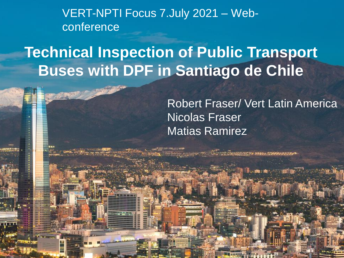VERT-NPTI Focus 7.July 2021 – Webconference

## **Technical Inspection of Public Transport Buses with DPF in Santiago de Chile**

Robert Fraser/ Vert Latin America Nicolas Fraser Matias Ramirez

1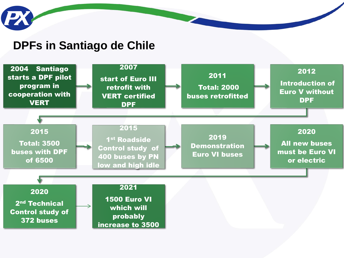

#### **DPFs in Santiago de Chile**

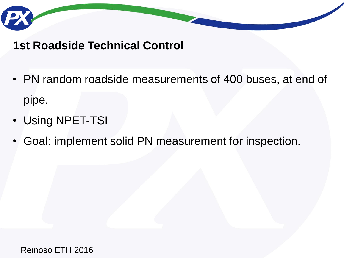

### **1st Roadside Technical Control**

- PN random roadside measurements of 400 buses, at end of pipe.
- Using NPET-TSI
- Goal: implement solid PN measurement for inspection.

Reinoso ETH 2016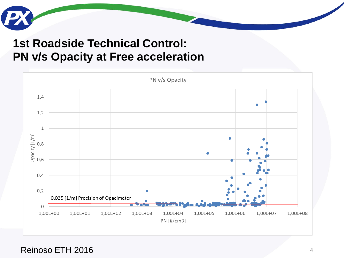## **1st Roadside Technical Control: PN v/s Opacity at Free acceleration**



Reinoso ETH 2016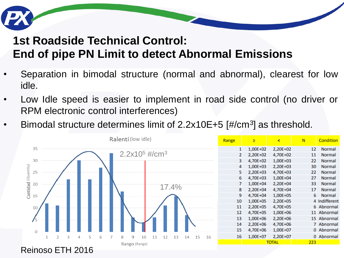## **1st Roadside Technical Control: End of pipe PN Limit to detect Abnormal Emissions**

- Separation in bimodal structure (normal and abnormal), clearest for low idle.
- Low Idle speed is easier to implement in road side control (no driver or RPM electronic control interferences)
- Bimodal structure determines limit of 2.2x10E+5 [#/cm<sup>3</sup>] as threshold.

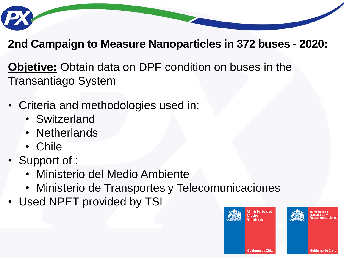

## **2nd Campaign to Measure Nanoparticles in 372 buses - 2020:**

**Objetive:** Obtain data on DPF condition on buses in the Transantiago System

- Criteria and methodologies used in:
	- Switzerland
	- Netherlands
	- Chile
- Support of :
	- Ministerio del Medio Ambiente
	- Ministerio de Transportes y Telecomunicaciones
- Used NPET provided by TSI

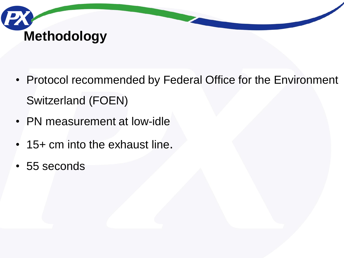

- Protocol recommended by Federal Office for the Environment Switzerland (FOEN)
- PN measurement at low-idle
- 15+ cm into the exhaust line.
- 55 seconds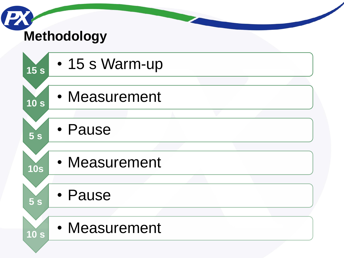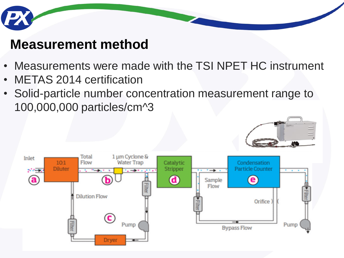

## **Measurement method**

- Measurements were made with the TSI NPET HC instrument
- METAS 2014 certification
- Solid-particle number concentration measurement range to 100,000,000 particles/cm^3



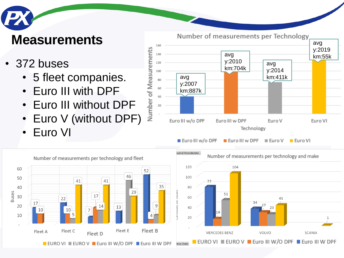## **Measurements**

## • 372 buses

- 5 fleet companies.
- Euro III with DPF
- Euro III without DPF
- Euro V (without DPF)
- Euro VI



Euro III w/o DPF Euro III w DPF  $\blacksquare$  Euro V



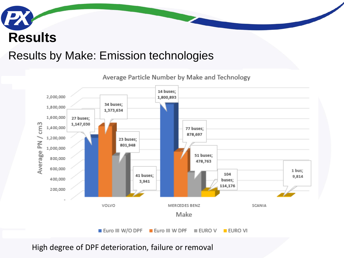## **PX Results**

#### Results by Make: Emission technologies



High degree of DPF deterioration, failure or removal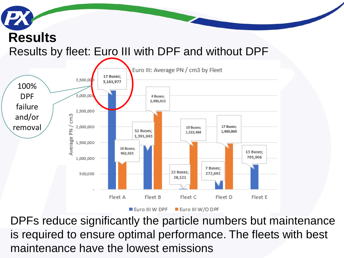## **Results** Results by fleet: Euro III with DPF and without DPF



DPFs reduce significantly the particle numbers but maintenance is required to ensure optimal performance. The fleets with best maintenance have the lowest emissions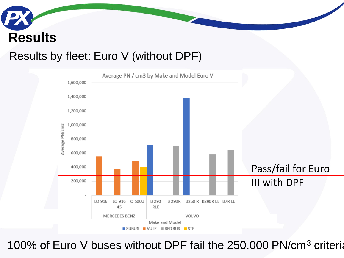# **Results**

### Results by fleet: Euro V (without DPF)



100% of Euro V buses without DPF fail the 250.000 PN/cm<sup>3</sup> criteria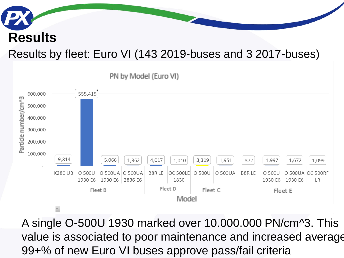# **Results**

## Results by fleet: Euro VI (143 2019-buses and 3 2017-buses)



A single O-500U 1930 marked over 10.000.000 PN/cm^3. This value is associated to poor maintenance and increased average 99+% of new Euro VI buses approve pass/fail criteria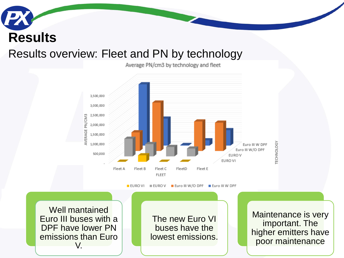## Results overview: Fleet and PN by technology **Results**

Average PN/cm3 by technology and fleet



**EURO VI**  $\equiv$  EURO V Euro III W/O DPF Euro III W DPF

Well mantained Euro III buses with a DPF have lower PN emissions than Euro V.

The new Euro VI buses have the lowest emissions.

Maintenance is very important. The higher emitters have poor maintenance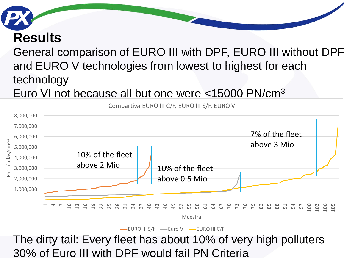

## **Results**

## General comparison of EURO III with DPF, EURO III without DPF and EURO V technologies from lowest to highest for each technology

## Euro VI not because all but one were <15000 PN/cm<sup>3</sup>



Compartiva EURO III C/F, EURO III S/F, EURO V

-EURO III S/f -Euro V -EURO III C/F

### The dirty tail: Every fleet has about 10% of very high polluters 30% of Euro III with DPF would fail PN Criteria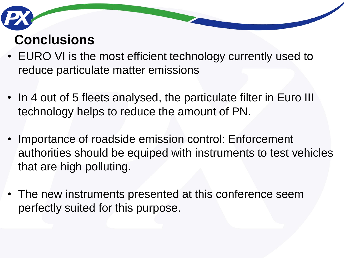## **Conclusions**

- EURO VI is the most efficient technology currently used to reduce particulate matter emissions
- In 4 out of 5 fleets analysed, the particulate filter in Euro III technology helps to reduce the amount of PN.
- Importance of roadside emission control: Enforcement authorities should be equiped with instruments to test vehicles that are high polluting.
- The new instruments presented at this conference seem perfectly suited for this purpose.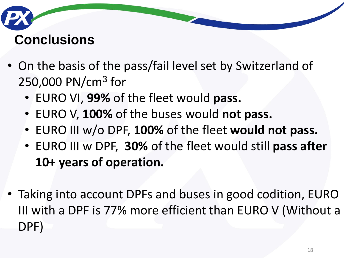## **Conclusions**

- On the basis of the pass/fail level set by Switzerland of 250,000 PN/cm<sup>3</sup> for
	- EURO VI, **99%** of the fleet would **pass.**
	- EURO V, **100%** of the buses would **not pass.**
	- EURO III w/o DPF, **100%** of the fleet **would not pass.**
	- EURO III w DPF, **30%** of the fleet would still **pass after 10+ years of operation.**
- Taking into account DPFs and buses in good codition, EURO III with a DPF is 77% more efficient than EURO V (Without a DPF)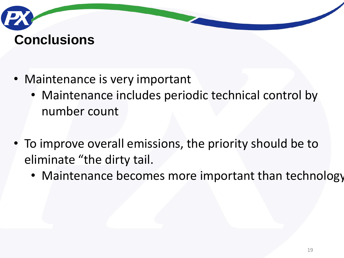# **Conclusions**

- Maintenance is very important
	- Maintenance includes periodic technical control by number count
- To improve overall emissions, the priority should be to eliminate "the dirty tail.
	- Maintenance becomes more important than technology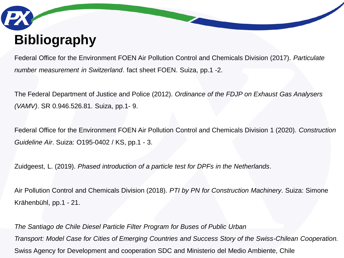# **Bibliography**

Federal Office for the Environment FOEN Air Pollution Control and Chemicals Division (2017). *Particulate number measurement in Switzerland*. fact sheet FOEN. Suiza, pp.1 -2.

The Federal Department of Justice and Police (2012). *Ordinance of the FDJP on Exhaust Gas Analysers (VAMV)*. SR 0.946.526.81. Suiza, pp.1- 9.

Federal Office for the Environment FOEN Air Pollution Control and Chemicals Division 1 (2020). *Construction Guideline Air*. Suiza: O195-0402 / KS, pp.1 - 3.

Zuidgeest, L. (2019). *Phased introduction of a particle test for DPFs in the Netherlands*.

Air Pollution Control and Chemicals Division (2018). *PTI by PN for Construction Machinery*. Suiza: Simone Krähenbühl, pp.1 - 21.

*The Santiago de Chile Diesel Particle Filter Program for Buses of Public Urban Transport: Model Case for Cities of Emerging Countries and Success Story of the Swiss-Chilean Cooperation.*  Swiss Agency for Development and cooperation SDC and Ministerio del Medio Ambiente, Chile